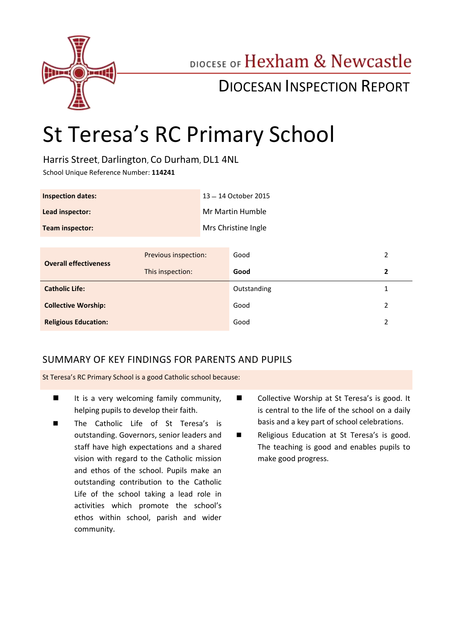

# DIOCESE OF Hexham & Newcastle

# DIOCESAN INSPECTION REPORT

# St Teresa's RC Primary School

Harris Street, Darlington, Co Durham, DL1 4NL

School Unique Reference Number: **114241**

| <b>Inspection dates:</b> | 13 - 14 October 2015 |
|--------------------------|----------------------|
| Lead inspector:          | Mr Martin Humble     |
| Team inspector:          | Mrs Christine Ingle  |

| Previous inspection:<br><b>Overall effectiveness</b><br>This inspection: | Good        | 2             |
|--------------------------------------------------------------------------|-------------|---------------|
|                                                                          | Good        |               |
| <b>Catholic Life:</b>                                                    | Outstanding |               |
| <b>Collective Worship:</b>                                               | Good        | $\mathcal{L}$ |
| <b>Religious Education:</b>                                              | Good        |               |

# SUMMARY OF KEY FINDINGS FOR PARENTS AND PUPILS

St Teresa's RC Primary School is a good Catholic school because:

- $\blacksquare$  It is a very welcoming family community, helping pupils to develop their faith.
- The Catholic Life of St Teresa's is outstanding. Governors, senior leaders and staff have high expectations and a shared vision with regard to the Catholic mission and ethos of the school. Pupils make an outstanding contribution to the Catholic Life of the school taking a lead role in activities which promote the school's ethos within school, parish and wider community.
- Collective Worship at St Teresa's is good. It is central to the life of the school on a daily basis and a key part of school celebrations.
- Religious Education at St Teresa's is good. The teaching is good and enables pupils to make good progress.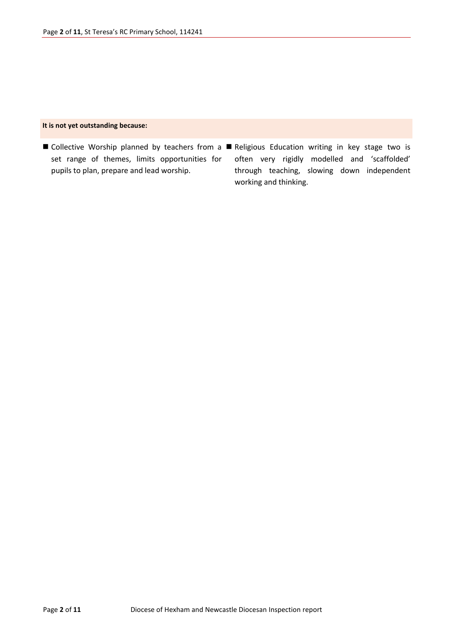#### **It is not yet outstanding because:**

■ Collective Worship planned by teachers from a ■ Religious Education writing in key stage two is set range of themes, limits opportunities for pupils to plan, prepare and lead worship. often very rigidly modelled and 'scaffolded' through teaching, slowing down independent working and thinking.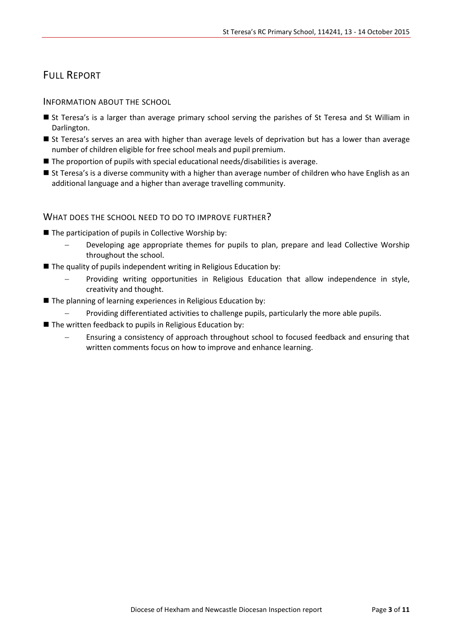# FULL REPORT

### INFORMATION ABOUT THE SCHOOL

- St Teresa's is a larger than average primary school serving the parishes of St Teresa and St William in Darlington.
- St Teresa's serves an area with higher than average levels of deprivation but has a lower than average number of children eligible for free school meals and pupil premium.
- The proportion of pupils with special educational needs/disabilities is average.
- St Teresa's is a diverse community with a higher than average number of children who have English as an additional language and a higher than average travelling community.

#### WHAT DOES THE SCHOOL NEED TO DO TO IMPROVE FURTHER?

- $\blacksquare$  The participation of pupils in Collective Worship by:
	- Developing age appropriate themes for pupils to plan, prepare and lead Collective Worship throughout the school.
- $\blacksquare$  The quality of pupils independent writing in Religious Education by:
	- Providing writing opportunities in Religious Education that allow independence in style, creativity and thought.
- The planning of learning experiences in Religious Education by:
	- Providing differentiated activities to challenge pupils, particularly the more able pupils.
- The written feedback to pupils in Religious Education by:
	- Ensuring a consistency of approach throughout school to focused feedback and ensuring that written comments focus on how to improve and enhance learning.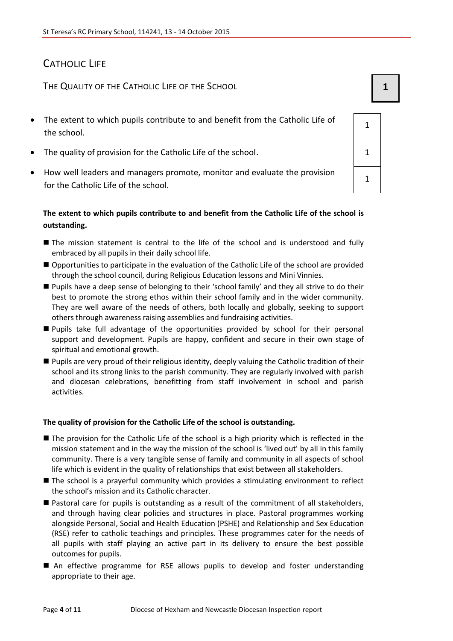# CATHOLIC LIFE

THE QUALITY OF THE CATHOLIC LIFE OF THE SCHOOL **1 1** 

- The extent to which pupils contribute to and benefit from the Catholic Life of the school.
- The quality of provision for the Catholic Life of the school.  $1 \t 1$
- How well leaders and managers promote, monitor and evaluate the provision for the Catholic Life of the school.

## The extent to which pupils contribute to and benefit from the Catholic Life of the sch **outstanding.**

- The mission statement is central to the life of the school and is understood and fully embraced by all pupils in their daily school life.
- Opportunities to participate in the evaluation of the Catholic Life of the school are provided through the school council, during Religious Education lessons and Mini Vinnies.
- Pupils have a deep sense of belonging to their 'school family' and they all strive to do their best to promote the strong ethos within their school family and in the wider community. They are well aware of the needs of others, both locally and globally, seeking to support others through awareness raising assemblies and fundraising activities.
- Pupils take full advantage of the opportunities provided by school for their personal support and development. Pupils are happy, confident and secure in their own stage of spiritual and emotional growth.
- Pupils are very proud of their religious identity, deeply valuing the Catholic tradition of their school and its strong links to the parish community. They are regularly involved with parish and diocesan celebrations, benefitting from staff involvement in school and parish activities.

#### **The quality of provision for the Catholic Life of the school is outstanding.**

- The provision for the Catholic Life of the school is a high priority which is reflected in the mission statement and in the way the mission of the school is 'lived out' by all in this family community. There is a very tangible sense of family and community in all aspects of school life which is evident in the quality of relationships that exist between all stakeholders.
- The school is a prayerful community which provides a stimulating environment to reflect the school's mission and its Catholic character.
- Pastoral care for pupils is outstanding as a result of the commitment of all stakeholders, and through having clear policies and structures in place. Pastoral programmes working alongside Personal, Social and Health Education (PSHE) and Relationship and Sex Education (RSE) refer to catholic teachings and principles. These programmes cater for the needs of all pupils with staff playing an active part in its delivery to ensure the best possible outcomes for pupils.
- An effective programme for RSE allows pupils to develop and foster understanding appropriate to their age.

| ool is |  |   |
|--------|--|---|
|        |  |   |
|        |  | 1 |
|        |  |   |

1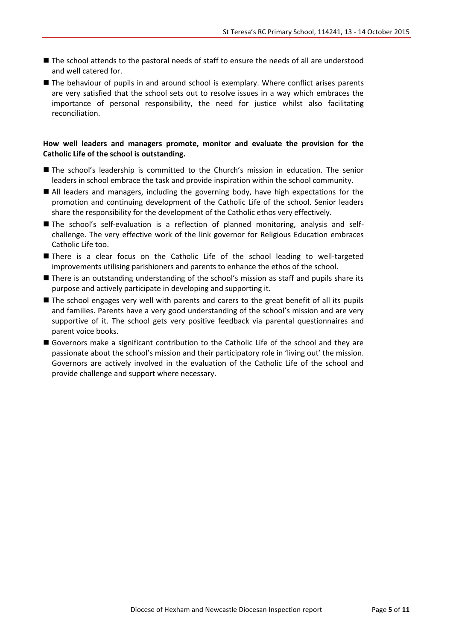- The school attends to the pastoral needs of staff to ensure the needs of all are understood and well catered for.
- The behaviour of pupils in and around school is exemplary. Where conflict arises parents are very satisfied that the school sets out to resolve issues in a way which embraces the importance of personal responsibility, the need for justice whilst also facilitating reconciliation.

#### **How well leaders and managers promote, monitor and evaluate the provision for the Catholic Life of the school is outstanding.**

- The school's leadership is committed to the Church's mission in education. The senior leaders in school embrace the task and provide inspiration within the school community.
- All leaders and managers, including the governing body, have high expectations for the promotion and continuing development of the Catholic Life of the school. Senior leaders share the responsibility for the development of the Catholic ethos very effectively.
- The school's self-evaluation is a reflection of planned monitoring, analysis and selfchallenge. The very effective work of the link governor for Religious Education embraces Catholic Life too.
- There is a clear focus on the Catholic Life of the school leading to well-targeted improvements utilising parishioners and parents to enhance the ethos of the school.
- **There is an outstanding understanding of the school's mission as staff and pupils share its** purpose and actively participate in developing and supporting it.
- The school engages very well with parents and carers to the great benefit of all its pupils and families. Parents have a very good understanding of the school's mission and are very supportive of it. The school gets very positive feedback via parental questionnaires and parent voice books.
- Governors make a significant contribution to the Catholic Life of the school and they are passionate about the school's mission and their participatory role in 'living out' the mission. Governors are actively involved in the evaluation of the Catholic Life of the school and provide challenge and support where necessary.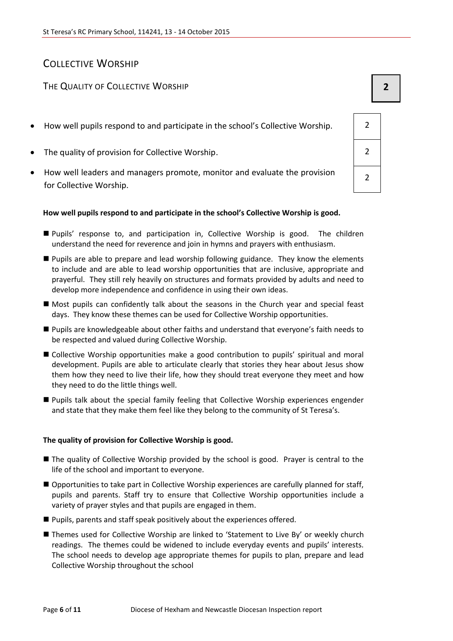# COLLECTIVE WORSHIP

# THE QUALITY OF COLLECTIVE WORSHIP **2 2**

- How well pupils respond to and participate in the school's Collective Worship.  $\vert$  2
- The quality of provision for Collective Worship. 2
- How well leaders and managers promote, monitor and evaluate the provision for Collective Worship.

#### **How well pupils respond to and participate in the school's Collective Worship is good.**

- Pupils' response to, and participation in, Collective Worship is good. The children understand the need for reverence and join in hymns and prayers with enthusiasm.
- **Pupils are able to prepare and lead worship following guidance. They know the elements** to include and are able to lead worship opportunities that are inclusive, appropriate and prayerful. They still rely heavily on structures and formats provided by adults and need to develop more independence and confidence in using their own ideas.
- Most pupils can confidently talk about the seasons in the Church year and special feast days. They know these themes can be used for Collective Worship opportunities.
- Pupils are knowledgeable about other faiths and understand that everyone's faith needs to be respected and valued during Collective Worship.
- Collective Worship opportunities make a good contribution to pupils' spiritual and moral development. Pupils are able to articulate clearly that stories they hear about Jesus show them how they need to live their life, how they should treat everyone they meet and how they need to do the little things well.
- Pupils talk about the special family feeling that Collective Worship experiences engender and state that they make them feel like they belong to the community of St Teresa's.

#### **The quality of provision for Collective Worship is good.**

- The quality of Collective Worship provided by the school is good. Prayer is central to the life of the school and important to everyone.
- Opportunities to take part in Collective Worship experiences are carefully planned for staff, pupils and parents. Staff try to ensure that Collective Worship opportunities include a variety of prayer styles and that pupils are engaged in them.
- **Pupils, parents and staff speak positively about the experiences offered.**
- Themes used for Collective Worship are linked to 'Statement to Live By' or weekly church readings. The themes could be widened to include everyday events and pupils' interests. The school needs to develop age appropriate themes for pupils to plan, prepare and lead Collective Worship throughout the school

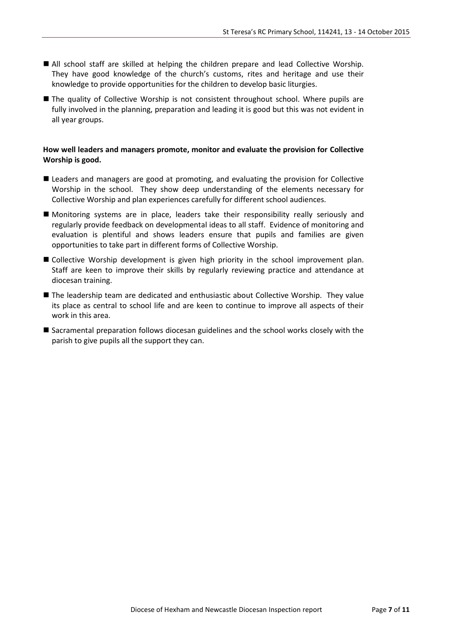- All school staff are skilled at helping the children prepare and lead Collective Worship. They have good knowledge of the church's customs, rites and heritage and use their knowledge to provide opportunities for the children to develop basic liturgies.
- The quality of Collective Worship is not consistent throughout school. Where pupils are fully involved in the planning, preparation and leading it is good but this was not evident in all year groups.

#### **How well leaders and managers promote, monitor and evaluate the provision for Collective Worship is good.**

- **Leaders and managers are good at promoting, and evaluating the provision for Collective** Worship in the school. They show deep understanding of the elements necessary for Collective Worship and plan experiences carefully for different school audiences.
- Monitoring systems are in place, leaders take their responsibility really seriously and regularly provide feedback on developmental ideas to all staff. Evidence of monitoring and evaluation is plentiful and shows leaders ensure that pupils and families are given opportunities to take part in different forms of Collective Worship.
- Collective Worship development is given high priority in the school improvement plan. Staff are keen to improve their skills by regularly reviewing practice and attendance at diocesan training.
- The leadership team are dedicated and enthusiastic about Collective Worship. They value its place as central to school life and are keen to continue to improve all aspects of their work in this area.
- Sacramental preparation follows diocesan guidelines and the school works closely with the parish to give pupils all the support they can.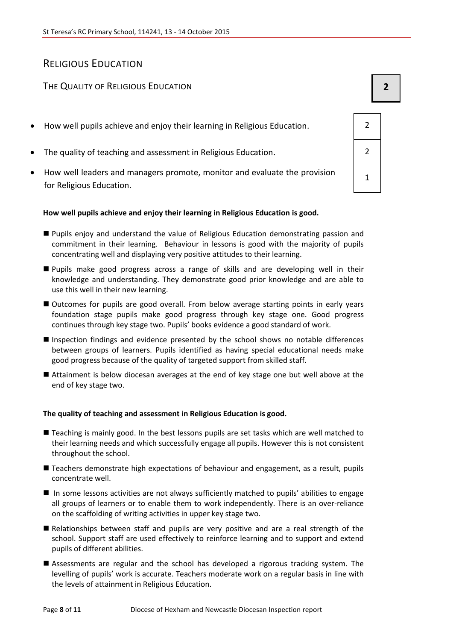# RELIGIOUS EDUCATION

# THE QUALITY OF RELIGIOUS EDUCATION **2**

- How well pupils achieve and enjoy their learning in Religious Education. 2
- The quality of teaching and assessment in Religious Education. 2
- How well leaders and managers promote, monitor and evaluate the provision for Religious Education.

#### **How well pupils achieve and enjoy their learning in Religious Education is good.**

- Pupils enjoy and understand the value of Religious Education demonstrating passion and commitment in their learning. Behaviour in lessons is good with the majority of pupils concentrating well and displaying very positive attitudes to their learning.
- Pupils make good progress across a range of skills and are developing well in their knowledge and understanding. They demonstrate good prior knowledge and are able to use this well in their new learning.
- Outcomes for pupils are good overall. From below average starting points in early years foundation stage pupils make good progress through key stage one. Good progress continues through key stage two. Pupils' books evidence a good standard of work.
- Inspection findings and evidence presented by the school shows no notable differences between groups of learners. Pupils identified as having special educational needs make good progress because of the quality of targeted support from skilled staff.
- Attainment is below diocesan averages at the end of key stage one but well above at the end of key stage two.

#### **The quality of teaching and assessment in Religious Education is good.**

- Teaching is mainly good. In the best lessons pupils are set tasks which are well matched to their learning needs and which successfully engage all pupils. However this is not consistent throughout the school.
- Teachers demonstrate high expectations of behaviour and engagement, as a result, pupils concentrate well.
- In some lessons activities are not always sufficiently matched to pupils' abilities to engage all groups of learners or to enable them to work independently. There is an over-reliance on the scaffolding of writing activities in upper key stage two.
- Relationships between staff and pupils are very positive and are a real strength of the school. Support staff are used effectively to reinforce learning and to support and extend pupils of different abilities.
- Assessments are regular and the school has developed a rigorous tracking system. The levelling of pupils' work is accurate. Teachers moderate work on a regular basis in line with the levels of attainment in Religious Education.

| $\overline{2}$ |  |
|----------------|--|
| $\overline{2}$ |  |
| $\overline{1}$ |  |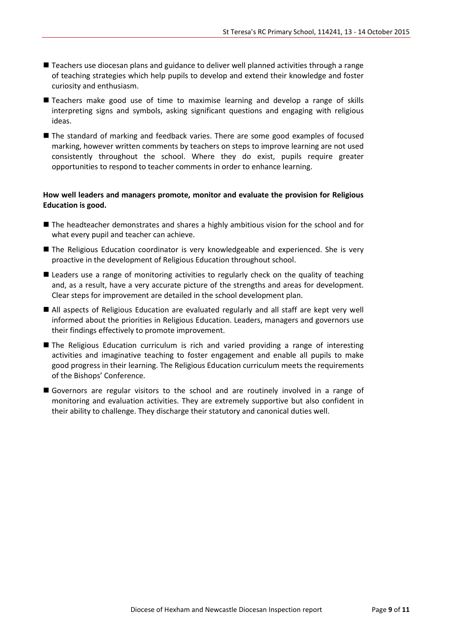- Teachers use diocesan plans and guidance to deliver well planned activities through a range of teaching strategies which help pupils to develop and extend their knowledge and foster curiosity and enthusiasm.
- Teachers make good use of time to maximise learning and develop a range of skills interpreting signs and symbols, asking significant questions and engaging with religious ideas.
- The standard of marking and feedback varies. There are some good examples of focused marking, however written comments by teachers on steps to improve learning are not used consistently throughout the school. Where they do exist, pupils require greater opportunities to respond to teacher comments in order to enhance learning.

#### **How well leaders and managers promote, monitor and evaluate the provision for Religious Education is good.**

- The headteacher demonstrates and shares a highly ambitious vision for the school and for what every pupil and teacher can achieve.
- The Religious Education coordinator is very knowledgeable and experienced. She is very proactive in the development of Religious Education throughout school.
- Leaders use a range of monitoring activities to regularly check on the quality of teaching and, as a result, have a very accurate picture of the strengths and areas for development. Clear steps for improvement are detailed in the school development plan.
- All aspects of Religious Education are evaluated regularly and all staff are kept very well informed about the priorities in Religious Education. Leaders, managers and governors use their findings effectively to promote improvement.
- **The Religious Education curriculum is rich and varied providing a range of interesting** activities and imaginative teaching to foster engagement and enable all pupils to make good progress in their learning. The Religious Education curriculum meets the requirements of the Bishops' Conference.
- Governors are regular visitors to the school and are routinely involved in a range of monitoring and evaluation activities. They are extremely supportive but also confident in their ability to challenge. They discharge their statutory and canonical duties well.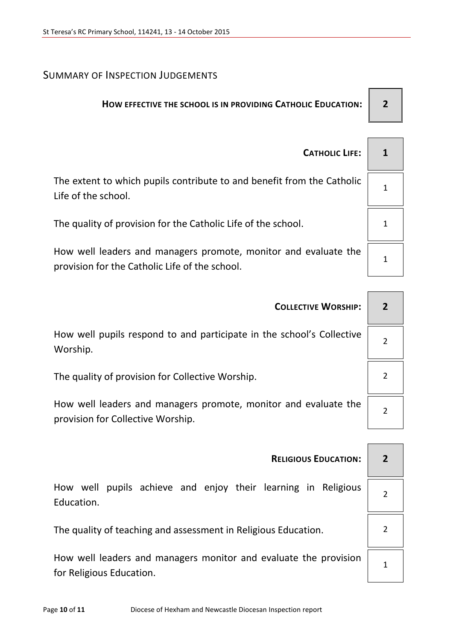# SUMMARY OF INSPECTION JUDGEMENTS

# **HOW EFFECTIVE THE SCHOOL IS IN PROVIDING CATHOLIC EDUCATION: 2**

| <b>CATHOLIC LIFE:</b>                                                                                             |  |
|-------------------------------------------------------------------------------------------------------------------|--|
| The extent to which pupils contribute to and benefit from the Catholic<br>Life of the school.                     |  |
| The quality of provision for the Catholic Life of the school.                                                     |  |
| How well leaders and managers promote, monitor and evaluate the<br>provision for the Catholic Life of the school. |  |

| <b>COLLECTIVE WORSHIP:</b>                                                                           |   |
|------------------------------------------------------------------------------------------------------|---|
| How well pupils respond to and participate in the school's Collective<br>Worship.                    |   |
| The quality of provision for Collective Worship.                                                     |   |
| How well leaders and managers promote, monitor and evaluate the<br>provision for Collective Worship. | 2 |
|                                                                                                      |   |
| <b>RELIGIOUS EDUCATION:</b>                                                                          |   |

How well pupils achieve and enjoy their learning in Religious Education.

The quality of teaching and assessment in Religious Education.  $\vert$  2

How well leaders and managers monitor and evaluate the provision for Religious Education.

1